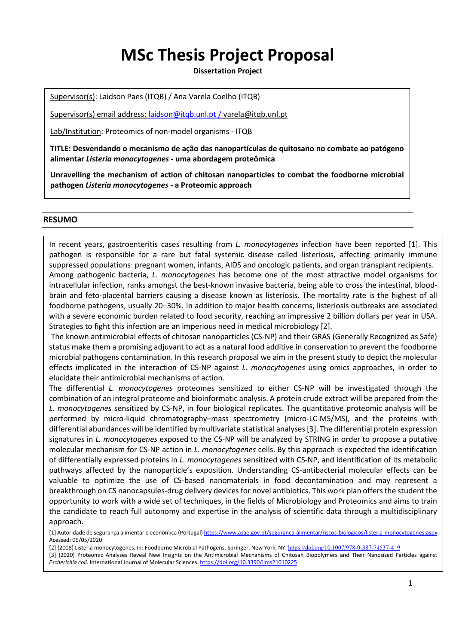# **MSc Thesis Project Proposal**

**Dissertation Project**

Supervisor(s): Laidson Paes (ITQB) / Ana Varela Coelho (ITQB)

Supervisor(s) email address: [laidson@itqb.unl.pt /](mailto:laidson@itqb.unl.pt%20/) varela@itqb.unl.pt

Lab/Institution: Proteomics of non-model organisms - ITQB

**TITLE: Desvendando o mecanismo de ação das nanopartículas de quitosano no combate ao patógeno alimentar** *Listeria monocytogenes* **- uma abordagem proteômica**

**Unravelling the mechanism of action of chitosan nanoparticles to combat the foodborne microbial pathogen** *Listeria monocytogenes* **- a Proteomic approach**

#### **RESUMO**

In recent years, gastroenteritis cases resulting from *L. monocytogenes* infection have been reported [1]. This pathogen is responsible for a rare but fatal systemic disease called listeriosis, affecting primarily immune suppressed populations: pregnant women, infants, AIDS and oncologic patients, and organ transplant recipients. Among pathogenic bacteria, *L. monocytogenes* has become one of the most attractive model organisms for intracellular infection, ranks amongst the best-known invasive bacteria, being able to cross the intestinal, bloodbrain and feto-placental barriers causing a disease known as listeriosis. The mortality rate is the highest of all foodborne pathogens, usually 20–30%. In addition to major health concerns, listeriosis outbreaks are associated with a severe economic burden related to food security, reaching an impressive 2 billion dollars per year in USA. Strategies to fight this infection are an imperious need in medical microbiology [2].

The known antimicrobial effects of chitosan nanoparticles (CS-NP) and their GRAS (Generally Recognized as Safe) status make them a promising adjuvant to act as a natural food additive in conservation to prevent the foodborne microbial pathogens contamination. In this research proposal we aim in the present study to depict the molecular effects implicated in the interaction of CS-NP against *L. monocytogenes* using omics approaches, in order to elucidate their antimicrobial mechanisms of action.

**Victivaluable to optimize the use of CS-based nanomaterials in food decontamination and may represent a** The differential *L. monocytogenes* proteomes sensitized to either CS-NP will be investigated through the combination of an integral proteome and bioinformatic analysis. A protein crude extract will be prepared from the *L. monocytogenes* sensitized by CS-NP, in four biological replicates. The quantitative proteomic analysis will be performed by micro-liquid chromatography–mass spectrometry (micro-LC-MS/MS), and the proteins with differential abundances will be identified by multivariate statistical analyses [3]. The differential protein expression signatures in *L. monocytogenes* exposed to the CS-NP will be analyzed by STRING in order to propose a putative molecular mechanism for CS-NP action in *L. monocytogenes* cells. By this approach is expected the identification of differentially expressed proteins in *L. monocytogenes* sensitized with CS-NP, and identification of its metabolic pathways affected by the nanoparticle's exposition. Understanding CS-antibacterial molecular effects can be breakthrough on CS nanocapsules-drug delivery devices for novel antibiotics. This work plan offers the student the opportunity to work with a wide set of techniques, in the fields of Microbiology and Proteomics and aims to train the candidate to reach full autonomy and expertise in the analysis of scientific data through a multidisciplinary approach.

[1] Autoridade de segurança alimentar e económica (Portugal[\) https://www.asae.gov.pt/seguranca-alimentar/riscos-biologicos/listeria-monocytogenes.aspx](https://www.asae.gov.pt/seguranca-alimentar/riscos-biologicos/listeria-monocytogenes.aspx) Acessed: 06/05/2020

[2] (2008) Listeria monocytogenes. In: Foodborne Microbial Pathogens. Springer, New York, NY. [https://doi.org/10.1007/978-0-387-74537-4\\_9](https://doi.org/10.1007/978-0-387-74537-4_9)

[3] (2020) Proteomic Analyses Reveal New Insights on the Antimicrobial Mechanisms of Chitosan Biopolymers and Their Nanosized Particles against *Escherichia coli*. International Journal of Molecular Sciences[. https://doi.org/10.3390/ijms21010225](https://doi.org/10.3390/ijms21010225)